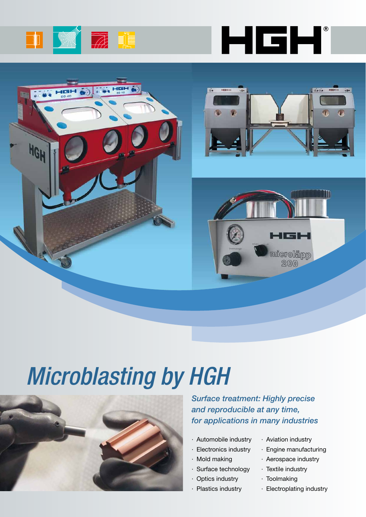









# *Microblasting by HGH*



*Surface treatment: Highly precise and reproducible at any time, for applications in many industries*

- · Automobile industry
- · Electronics industry
- · Mold making
- · Surface technology
- · Optics industry
- · Plastics industry
- · Aviation industry
- · Engine manufacturing
- · Aerospace industry
- · Textile industry
- · Toolmaking
- · Electroplating industry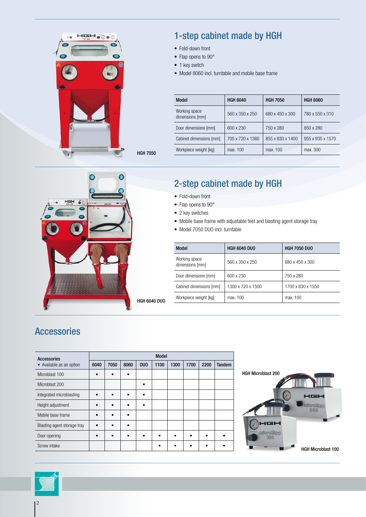



- Fold-down front
- Flap opens to 90°
- 1 key switch
- • Model 8060 incl. turntable and mobile base frame

| Model                            | <b>HGH 6040</b>  | <b>HGH 7050</b>  | <b>HGH 8060</b>  |
|----------------------------------|------------------|------------------|------------------|
| Working space<br>dimensions [mm] | 560 x 350 x 250  | 680 x 450 x 300  | 780 x 550 x 310  |
| Door dimensions [mm]             | 600 x 230        | 750 x 280        | 850 x 280        |
| Cabinet dimensions [mm]          | 705 x 720 x 1360 | 855 x 830 x 1400 | 955 x 935 x 1570 |
| Workpiece weight [kg]            | max. 100         | max. 100         | max. 300         |

HGH 7050



## 2-step cabinet made by HGH

- Fold-down front
- Flap opens to 90°
- 2 key switches
- Mobile base frame with adjustable feet and blasting agent storage tray
- Model 7050 DUO incl. turntable

| Model                            | <b>HGH 6040 DUO</b> | <b>HGH 7050 DUO</b> |
|----------------------------------|---------------------|---------------------|
| Working space<br>dimensions [mm] | 560 x 350 x 250     | 680 x 450 x 300     |
| Door dimensions [mm]             | 600 x 230           | 750 x 280           |
| Cabinet dimensions [mm]          | 1300 x 720 x 1500   | 1700 x 830 x 1550   |
| Workpiece weight [kg]            | max. 100            | max. 100            |

### Accessories

| Accessories                 | <b>Model</b> |           |           |            |      |      |      |      |               |
|-----------------------------|--------------|-----------|-----------|------------|------|------|------|------|---------------|
| • Available as an option    | 6040         | 7050      | 8060      | <b>DUO</b> | 1100 | 1300 | 1700 | 2200 | <b>Tandem</b> |
| Microblast 100              |              |           | $\bullet$ |            |      |      |      |      |               |
| Microblast 200              |              |           |           | ٠          |      |      |      |      |               |
| Integrated microblasting    |              |           | ٠         | $\bullet$  |      |      |      |      |               |
| Height adjustment           |              | ٠         | $\bullet$ | $\bullet$  |      |      |      |      |               |
| Mobile base frame           |              |           | ٠         |            |      |      |      |      |               |
| Blasting agent storage tray |              | $\bullet$ | $\bullet$ |            |      |      |      |      |               |
| Door opening                |              |           | ٠         | ٠          |      |      |      |      |               |
| Screw intake                |              |           |           |            |      |      |      |      |               |



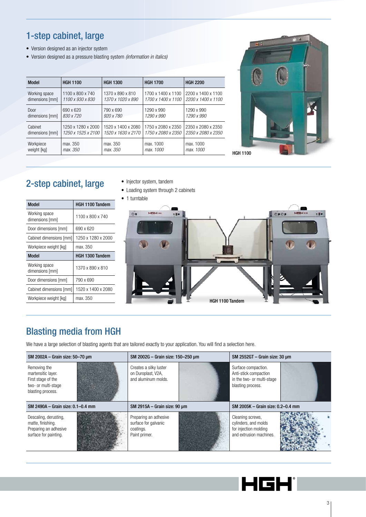### 1-step cabinet, large

- • Version designed as an injector system
- • Version designed as a pressure blasting system *(information in italics)*

| Model           | <b>HGH 1100</b>    | <b>HGH 1300</b>    | <b>HGH 1700</b>    | <b>HGH 2200</b>    |
|-----------------|--------------------|--------------------|--------------------|--------------------|
| Working space   | 1100 x 800 x 740   | 1370 x 890 x 810   | 1700 x 1400 x 1100 | 2200 x 1400 x 1100 |
| dimensions [mm] | 1100 x 930 x 830   | 1370 x 1020 x 890  | 1700 x 1400 x 1100 | 2200 x 1400 x 1100 |
| Door            | 690 x 620          | 790 x 690          | 1290 x 990         | 1290 x 990         |
| dimensions [mm] | 830 x 720          | 920 x 780          | 1290 x 990         | 1290 x 990         |
| Cabinet         | 1250 x 1280 x 2000 | 1520 x 1400 x 2080 | 1750 x 2080 x 2350 | 2350 x 2080 x 2350 |
| dimensions [mm] | 1250 x 1525 x 2100 | 1520 x 1630 x 2170 | 1750 x 2080 x 2350 | 2350 x 2080 x 2350 |
| Workpiece       | max. 350           | max. 350           | max. 1000          | max. 1000          |
| weight [kg]     | max. 350           | max. 350           | max. 1000          | max. 1000          |



# 2-step cabinet, large

- • Injector system, tandem
- Loading system through 2 cabinets

| <b>Model</b>                     | <b>HGH 1100 Tandem</b> |
|----------------------------------|------------------------|
| Working space<br>dimensions [mm] | 1100 x 800 x 740       |
| Door dimensions [mm]             | 690 x 620              |
| Cabinet dimensions [mm]          | 1250 x 1280 x 2000     |
| Workpiece weight [kg]            | max. 350               |
| <b>Model</b>                     | HGH 1300 Tandem        |
| Working space<br>dimensions [mm] | 1370 x 890 x 810       |
| Door dimensions [mm]             | 790 x 690              |
| Cabinet dimensions [mm]          | 1520 x 1400 x 2080     |

- 
- 1 turntable



# Blasting media from HGH

Workpiece weight [kg] | max. 350

We have a large selection of blasting agents that are tailored exactly to your application. You will find a selection here.

| SM 2002A - Grain size: 50-70 µm                                                                      | SM 2002G - Grain size: 150-250 µm                                   | SM 2552GT - Grain size: 30 µm                                                                   |  |  |
|------------------------------------------------------------------------------------------------------|---------------------------------------------------------------------|-------------------------------------------------------------------------------------------------|--|--|
| Removing the<br>martensitic layer.<br>First stage of the<br>two- or multi-stage<br>blasting process. | Creates a silky luster<br>on Duroplast, V2A,<br>and aluminum molds. | Surface compaction.<br>Anti-stick compaction<br>in the two- or multi-stage<br>blasting process. |  |  |
| SM 2490A – Grain size: 0.1–0.4 mm                                                                    | SM 2915A - Grain size: 90 um                                        | SM 2005K – Grain size: 0.2–0.4 mm                                                               |  |  |
| Descaling, derusting,                                                                                | Preparing an adhesive                                               | Cleaning screws,                                                                                |  |  |